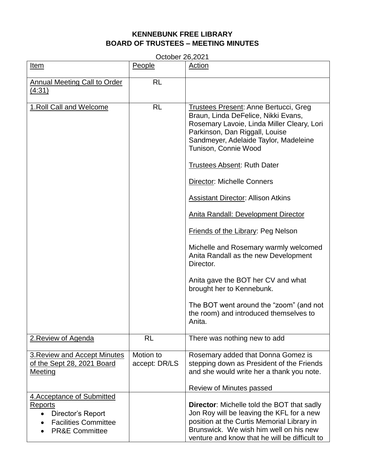## **KENNEBUNK FREE LIBRARY BOARD OF TRUSTEES – MEETING MINUTES**

| October 26,2021                                                                                                                     |                            |                                                                                                                                                                                                                                                                                                                                                                                                                                                                                                                                                                                                                   |  |  |
|-------------------------------------------------------------------------------------------------------------------------------------|----------------------------|-------------------------------------------------------------------------------------------------------------------------------------------------------------------------------------------------------------------------------------------------------------------------------------------------------------------------------------------------------------------------------------------------------------------------------------------------------------------------------------------------------------------------------------------------------------------------------------------------------------------|--|--|
| Item                                                                                                                                | People                     | Action                                                                                                                                                                                                                                                                                                                                                                                                                                                                                                                                                                                                            |  |  |
| <b>Annual Meeting Call to Order</b><br>(4:31)                                                                                       | <b>RL</b>                  |                                                                                                                                                                                                                                                                                                                                                                                                                                                                                                                                                                                                                   |  |  |
| 1. Roll Call and Welcome                                                                                                            | <b>RL</b>                  | <b>Trustees Present: Anne Bertucci, Greg</b><br>Braun, Linda DeFelice, Nikki Evans,<br>Rosemary Lavoie, Linda Miller Cleary, Lori<br>Parkinson, Dan Riggall, Louise<br>Sandmeyer, Adelaide Taylor, Madeleine<br>Tunison, Connie Wood<br><b>Trustees Absent: Ruth Dater</b><br><b>Director: Michelle Conners</b><br><b>Assistant Director: Allison Atkins</b><br>Anita Randall: Development Director<br><b>Friends of the Library: Peg Nelson</b><br>Michelle and Rosemary warmly welcomed<br>Anita Randall as the new Development<br>Director.<br>Anita gave the BOT her CV and what<br>brought her to Kennebunk. |  |  |
|                                                                                                                                     |                            | The BOT went around the "zoom" (and not<br>the room) and introduced themselves to<br>Anita.                                                                                                                                                                                                                                                                                                                                                                                                                                                                                                                       |  |  |
| 2. Review of Agenda                                                                                                                 | <b>RL</b>                  | There was nothing new to add                                                                                                                                                                                                                                                                                                                                                                                                                                                                                                                                                                                      |  |  |
| 3. Review and Accept Minutes<br>of the Sept 28, 2021 Board<br>Meeting                                                               | Motion to<br>accept: DR/LS | Rosemary added that Donna Gomez is<br>stepping down as President of the Friends<br>and she would write her a thank you note.<br>Review of Minutes passed                                                                                                                                                                                                                                                                                                                                                                                                                                                          |  |  |
| 4. Acceptance of Submitted<br>Reports<br>Director's Report<br>$\bullet$<br><b>Facilities Committee</b><br><b>PR&amp;E Committee</b> |                            | <b>Director:</b> Michelle told the BOT that sadly<br>Jon Roy will be leaving the KFL for a new<br>position at the Curtis Memorial Library in<br>Brunswick. We wish him well on his new                                                                                                                                                                                                                                                                                                                                                                                                                            |  |  |

venture and know that he will be difficult to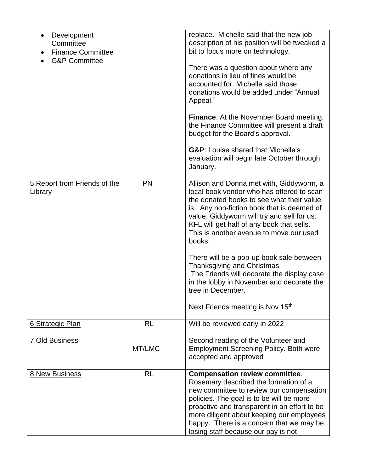| Development<br>$\bullet$<br>Committee<br><b>Finance Committee</b><br><b>G&amp;P Committee</b> |           | replace. Michelle said that the new job<br>description of his position will be tweaked a<br>bit to focus more on technology.<br>There was a question about where any<br>donations in lieu of fines would be<br>accounted for. Michelle said those<br>donations would be added under "Annual<br>Appeal."<br><b>Finance:</b> At the November Board meeting,<br>the Finance Committee will present a draft<br>budget for the Board's approval.<br><b>G&amp;P:</b> Louise shared that Michelle's<br>evaluation will begin late October through<br>January.          |
|-----------------------------------------------------------------------------------------------|-----------|-----------------------------------------------------------------------------------------------------------------------------------------------------------------------------------------------------------------------------------------------------------------------------------------------------------------------------------------------------------------------------------------------------------------------------------------------------------------------------------------------------------------------------------------------------------------|
| 5. Report from Friends of the<br>Library                                                      | <b>PN</b> | Allison and Donna met with, Giddyworm, a<br>local book vendor who has offered to scan<br>the donated books to see what their value<br>is. Any non-fiction book that is deemed of<br>value, Giddyworm will try and sell for us.<br>KFL will get half of any book that sells.<br>This is another avenue to move our used<br>books.<br>There will be a pop-up book sale between<br>Thanksgiving and Christmas.<br>The Friends will decorate the display case<br>in the lobby in November and decorate the<br>tree in December.<br>Next Friends meeting is Nov 15th |
| 6.Strategic Plan                                                                              | <b>RL</b> | Will be reviewed early in 2022                                                                                                                                                                                                                                                                                                                                                                                                                                                                                                                                  |
| <b>7.Old Business</b>                                                                         | MT/LMC    | Second reading of the Volunteer and<br><b>Employment Screening Policy. Both were</b><br>accepted and approved                                                                                                                                                                                                                                                                                                                                                                                                                                                   |
| 8. New Business                                                                               | <b>RL</b> | <b>Compensation review committee.</b><br>Rosemary described the formation of a<br>new committee to review our compensation<br>policies. The goal is to be will be more<br>proactive and transparent in an effort to be<br>more diligent about keeping our employees<br>happy. There is a concern that we may be<br>losing staff because our pay is not                                                                                                                                                                                                          |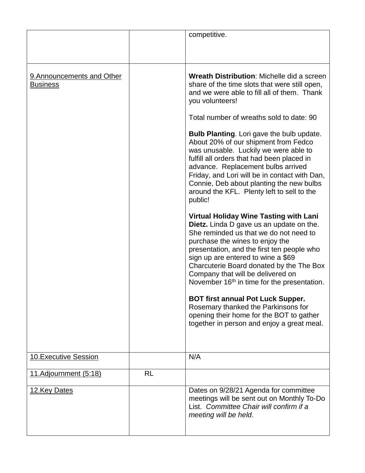|                                               |    | competitive.                                                                                                                                                                                                                                                                                                                                                                                                                                                                                                                                                                                          |
|-----------------------------------------------|----|-------------------------------------------------------------------------------------------------------------------------------------------------------------------------------------------------------------------------------------------------------------------------------------------------------------------------------------------------------------------------------------------------------------------------------------------------------------------------------------------------------------------------------------------------------------------------------------------------------|
| 9. Announcements and Other<br><b>Business</b> |    | <b>Wreath Distribution: Michelle did a screen</b><br>share of the time slots that were still open,<br>and we were able to fill all of them. Thank<br>you volunteers!<br>Total number of wreaths sold to date: 90<br><b>Bulb Planting.</b> Lori gave the bulb update.<br>About 20% of our shipment from Fedco<br>was unusable. Luckily we were able to<br>fulfill all orders that had been placed in<br>advance. Replacement bulbs arrived<br>Friday, and Lori will be in contact with Dan,<br>Connie, Deb about planting the new bulbs<br>around the KFL. Plenty left to sell to the                  |
|                                               |    | public!<br><b>Virtual Holiday Wine Tasting with Lani</b><br><b>Dietz.</b> Linda D gave us an update on the.<br>She reminded us that we do not need to<br>purchase the wines to enjoy the<br>presentation, and the first ten people who<br>sign up are entered to wine a \$69<br>Charcuterie Board donated by the The Box<br>Company that will be delivered on<br>November 16 <sup>th</sup> in time for the presentation.<br><b>BOT first annual Pot Luck Supper.</b><br>Rosemary thanked the Parkinsons for<br>opening their home for the BOT to gather<br>together in person and enjoy a great meal. |
| <b>10. Executive Session</b>                  |    | N/A                                                                                                                                                                                                                                                                                                                                                                                                                                                                                                                                                                                                   |
| 11.Adjournment (5:18)                         | RL |                                                                                                                                                                                                                                                                                                                                                                                                                                                                                                                                                                                                       |
| 12. Key Dates                                 |    | Dates on 9/28/21 Agenda for committee<br>meetings will be sent out on Monthly To-Do<br>List. Committee Chair will confirm if a<br>meeting will be held.                                                                                                                                                                                                                                                                                                                                                                                                                                               |